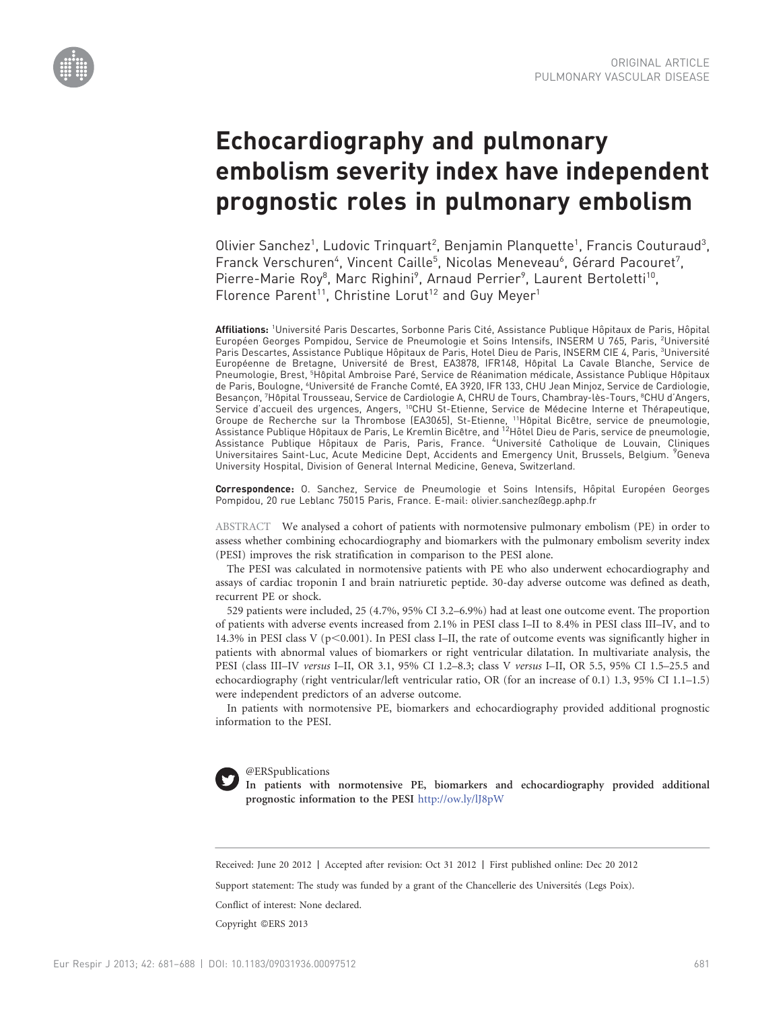

# Echocardiography and pulmonary embolism severity index have independent prognostic roles in pulmonary embolism

Olivier Sanchez<sup>1</sup>, Ludovic Trinquart<sup>2</sup>, Benjamin Planquette<sup>1</sup>, Francis Couturaud<sup>3</sup>, Franck Verschuren<sup>4</sup>, Vincent Caille<sup>5</sup>, Nicolas Meneveau<sup>6</sup>, Gérard Pacouret<sup>7</sup>, Pierre-Marie Roy<sup>8</sup>, Marc Righini<sup>9</sup>, Arnaud Perrier<sup>9</sup>, Laurent Bertoletti<sup>10</sup>, Florence Parent<sup>11</sup>, Christine Lorut<sup>12</sup> and Guy Meyer<sup>1</sup>

**Affiliations:** 'Université Paris Descartes, Sorbonne Paris Cité, Assistance Publique Hôpitaux de Paris, Hôpital Européen Georges Pompidou, Service de Pneumologie et Soins Intensifs, INSERM U 765, Paris, <sup>2</sup>Université Paris Descartes, Assistance Publique Hôpitaux de Paris, Hotel Dieu de Paris, INSERM CIE 4, Paris, <sup>3</sup>Université Européenne de Bretagne, Université de Brest, EA3878, IFR148, Hôpital La Cavale Blanche, Service de Pneumologie, Brest, <sup>5</sup>Hôpital Ambroise Paré, Service de Réanimation médicale, Assistance Publique Hôpitaux de Paris, Boulogne, 'Université de Franche Comté, EA 3920, IFR 133, CHU Jean Minjoz, Service de Cardiologie, Besançon, <sup>7</sup>Hôpital Trousseau, Service de Cardiologie A, CHRU de Tours, Chambray-lès-Tours, <sup>8</sup>CHU d'Angers, Besançon, Hophat Housseau, Service de Sandreagierr, Sinne et Trans, Ammaris, Mercie d'accueil des urgences, Angers, <sup>10</sup>CHU St-Etienne, Service de Médecine Interne et Thérapeutique, Groupe de Recherche sur la Thrombose (EA3065), St-Etienne, <sup>11</sup>Hôpital Bicêtre, service de pneumologie, Assistance Publique Hôpitaux de Paris, Le Kremlin Bicêtre, and <sup>12</sup>Hôtel Dieu de Paris, service de pneumologie, Assistance Publique Hôpitaux de Paris, Paris, France. <sup>4</sup>Université Catholique de Louvain, Cliniques Universitaires Saint-Luc, Acute Medicine Dept, Accidents and Emergency Unit, Brussels, Belgium. <sup>9</sup>Geneva University Hospital, Division of General Internal Medicine, Geneva, Switzerland.

Correspondence: O. Sanchez, Service de Pneumologie et Soins Intensifs, Hôpital Européen Georges Pompidou, 20 rue Leblanc 75015 Paris, France. E-mail: olivier.sanchez@egp.aphp.fr

ABSTRACT We analysed a cohort of patients with normotensive pulmonary embolism (PE) in order to assess whether combining echocardiography and biomarkers with the pulmonary embolism severity index (PESI) improves the risk stratification in comparison to the PESI alone.

The PESI was calculated in normotensive patients with PE who also underwent echocardiography and assays of cardiac troponin I and brain natriuretic peptide. 30-day adverse outcome was defined as death, recurrent PE or shock.

529 patients were included, 25 (4.7%, 95% CI 3.2–6.9%) had at least one outcome event. The proportion of patients with adverse events increased from 2.1% in PESI class I–II to 8.4% in PESI class III–IV, and to 14.3% in PESI class V ( $p<0.001$ ). In PESI class I–II, the rate of outcome events was significantly higher in patients with abnormal values of biomarkers or right ventricular dilatation. In multivariate analysis, the PESI (class III–IV versus I–II, OR 3.1, 95% CI 1.2–8.3; class V versus I–II, OR 5.5, 95% CI 1.5–25.5 and echocardiography (right ventricular/left ventricular ratio, OR (for an increase of 0.1) 1.3, 95% CI 1.1–1.5) were independent predictors of an adverse outcome.

In patients with normotensive PE, biomarkers and echocardiography provided additional prognostic information to the PESI.



@ERSpublications

In patients with normotensive PE, biomarkers and echocardiography provided additional prognostic information to the PESI <http://ow.ly/lJ8pW>

Received: June 20 2012 | Accepted after revision: Oct 31 2012 | First published online: Dec 20 2012

Support statement: The study was funded by a grant of the Chancellerie des Universités (Legs Poix).

Conflict of interest: None declared.

Copyright ©ERS 2013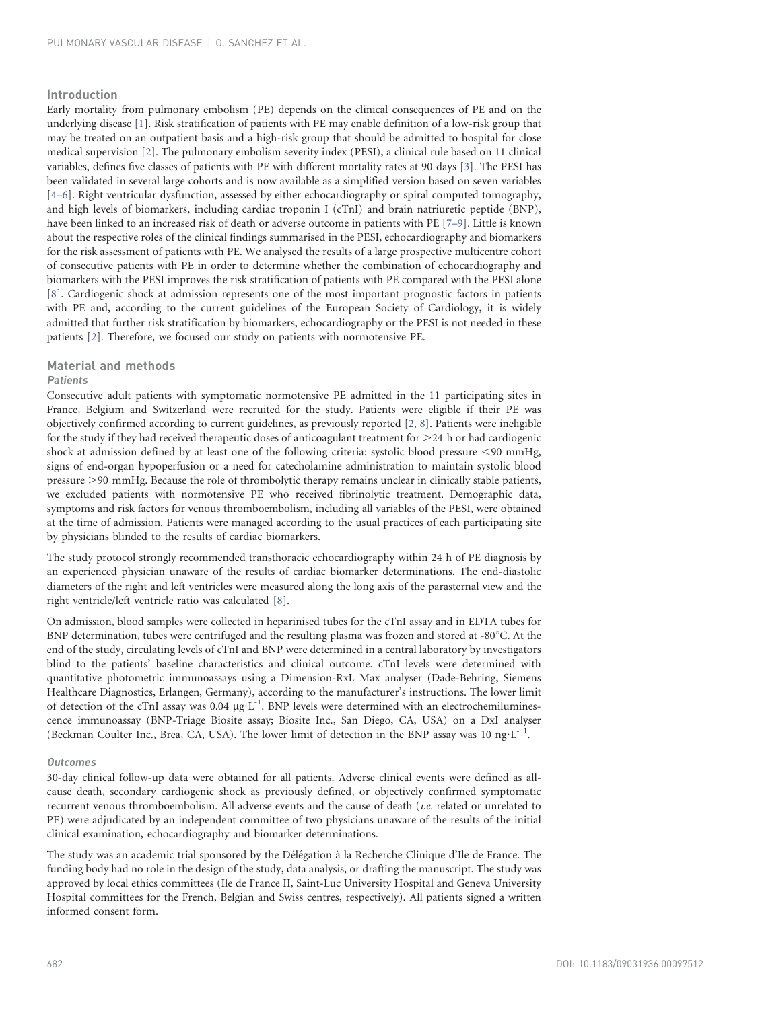# Introduction

Early mortality from pulmonary embolism (PE) depends on the clinical consequences of PE and on the underlying disease [\[1\].](#page-6-0) Risk stratification of patients with PE may enable definition of a low-risk group that may be treated on an outpatient basis and a high-risk group that should be admitted to hospital for close medical supervision [\[2\]](#page-6-0). The pulmonary embolism severity index (PESI), a clinical rule based on 11 clinical variables, defines five classes of patients with PE with different mortality rates at 90 days [\[3\]](#page-6-0). The PESI has been validated in several large cohorts and is now available as a simplified version based on seven variables [\[4–6\].](#page-6-0) Right ventricular dysfunction, assessed by either echocardiography or spiral computed tomography, and high levels of biomarkers, including cardiac troponin I (cTnI) and brain natriuretic peptide (BNP), have been linked to an increased risk of death or adverse outcome in patients with PE [\[7–9\]](#page-7-0). Little is known about the respective roles of the clinical findings summarised in the PESI, echocardiography and biomarkers for the risk assessment of patients with PE. We analysed the results of a large prospective multicentre cohort of consecutive patients with PE in order to determine whether the combination of echocardiography and biomarkers with the PESI improves the risk stratification of patients with PE compared with the PESI alone [\[8\].](#page-7-0) Cardiogenic shock at admission represents one of the most important prognostic factors in patients with PE and, according to the current guidelines of the European Society of Cardiology, it is widely admitted that further risk stratification by biomarkers, echocardiography or the PESI is not needed in these patients [\[2\]](#page-6-0). Therefore, we focused our study on patients with normotensive PE.

## Material and methods

## Patients

Consecutive adult patients with symptomatic normotensive PE admitted in the 11 participating sites in France, Belgium and Switzerland were recruited for the study. Patients were eligible if their PE was objectively confirmed according to current guidelines, as previously reported [\[2, 8\].](#page-6-0) Patients were ineligible for the study if they had received therapeutic doses of anticoagulant treatment for  $>$ 24 h or had cardiogenic shock at admission defined by at least one of the following criteria: systolic blood pressure  $\leq$ 90 mmHg, signs of end-organ hypoperfusion or a need for catecholamine administration to maintain systolic blood pressure >90 mmHg. Because the role of thrombolytic therapy remains unclear in clinically stable patients, we excluded patients with normotensive PE who received fibrinolytic treatment. Demographic data, symptoms and risk factors for venous thromboembolism, including all variables of the PESI, were obtained at the time of admission. Patients were managed according to the usual practices of each participating site by physicians blinded to the results of cardiac biomarkers.

The study protocol strongly recommended transthoracic echocardiography within 24 h of PE diagnosis by an experienced physician unaware of the results of cardiac biomarker determinations. The end-diastolic diameters of the right and left ventricles were measured along the long axis of the parasternal view and the right ventricle/left ventricle ratio was calculated [\[8\]](#page-7-0).

On admission, blood samples were collected in heparinised tubes for the cTnI assay and in EDTA tubes for BNP determination, tubes were centrifuged and the resulting plasma was frozen and stored at  $-80^{\circ}$ C. At the end of the study, circulating levels of cTnI and BNP were determined in a central laboratory by investigators blind to the patients' baseline characteristics and clinical outcome. cTnI levels were determined with quantitative photometric immunoassays using a Dimension-RxL Max analyser (Dade-Behring, Siemens Healthcare Diagnostics, Erlangen, Germany), according to the manufacturer's instructions. The lower limit of detection of the cTnI assay was  $0.04 \mu g \cdot L^{-1}$ . BNP levels were determined with an electrochemiluminescence immunoassay (BNP-Triage Biosite assay; Biosite Inc., San Diego, CA, USA) on a DxI analyser (Beckman Coulter Inc., Brea, CA, USA). The lower limit of detection in the BNP assay was 10 ng $L^{-1}$ .

## **Outcomes**

30-day clinical follow-up data were obtained for all patients. Adverse clinical events were defined as allcause death, secondary cardiogenic shock as previously defined, or objectively confirmed symptomatic recurrent venous thromboembolism. All adverse events and the cause of death (i.e. related or unrelated to PE) were adjudicated by an independent committee of two physicians unaware of the results of the initial clinical examination, echocardiography and biomarker determinations.

The study was an academic trial sponsored by the Délégation à la Recherche Clinique d'Ile de France. The funding body had no role in the design of the study, data analysis, or drafting the manuscript. The study was approved by local ethics committees (Ile de France II, Saint-Luc University Hospital and Geneva University Hospital committees for the French, Belgian and Swiss centres, respectively). All patients signed a written informed consent form.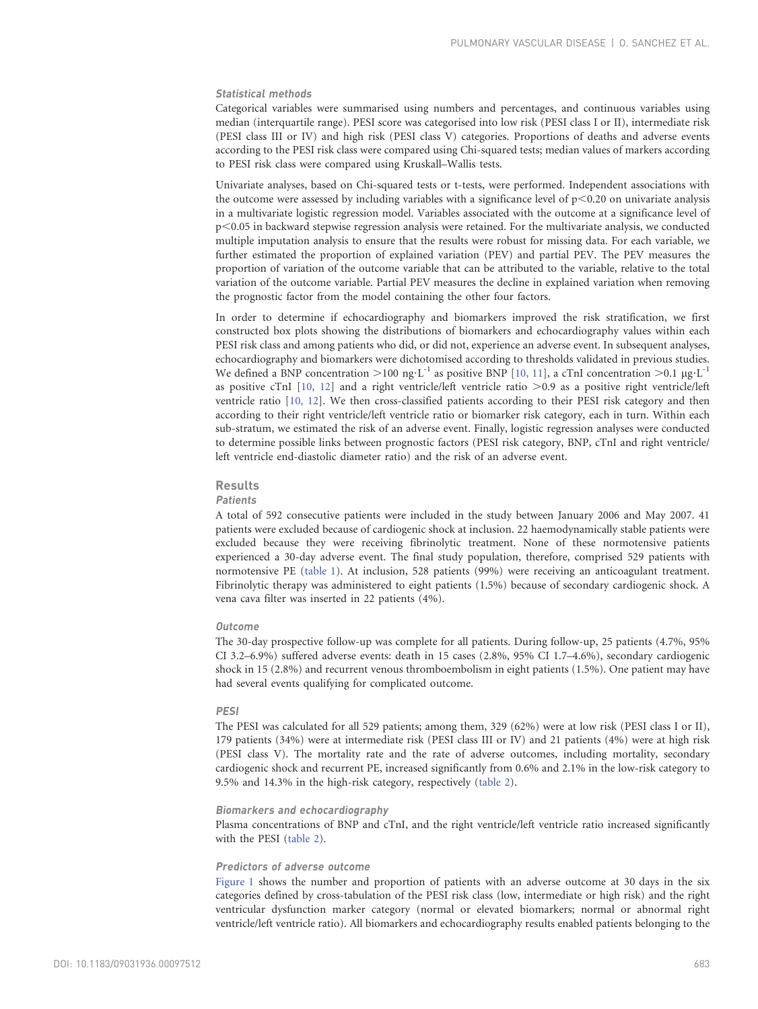# Statistical methods

Categorical variables were summarised using numbers and percentages, and continuous variables using median (interquartile range). PESI score was categorised into low risk (PESI class I or II), intermediate risk (PESI class III or IV) and high risk (PESI class V) categories. Proportions of deaths and adverse events according to the PESI risk class were compared using Chi-squared tests; median values of markers according to PESI risk class were compared using Kruskall–Wallis tests.

Univariate analyses, based on Chi-squared tests or t-tests, were performed. Independent associations with the outcome were assessed by including variables with a significance level of  $p<0.20$  on univariate analysis in a multivariate logistic regression model. Variables associated with the outcome at a significance level of p,0.05 in backward stepwise regression analysis were retained. For the multivariate analysis, we conducted multiple imputation analysis to ensure that the results were robust for missing data. For each variable, we further estimated the proportion of explained variation (PEV) and partial PEV. The PEV measures the proportion of variation of the outcome variable that can be attributed to the variable, relative to the total variation of the outcome variable. Partial PEV measures the decline in explained variation when removing the prognostic factor from the model containing the other four factors.

In order to determine if echocardiography and biomarkers improved the risk stratification, we first constructed box plots showing the distributions of biomarkers and echocardiography values within each PESI risk class and among patients who did, or did not, experience an adverse event. In subsequent analyses, echocardiography and biomarkers were dichotomised according to thresholds validated in previous studies. We defined a BNP concentration  $>100$  ng $\cdot$ L<sup>-1</sup> as positive BNP [\[10, 11\]](#page-7-0), a cTnI concentration  $>0.1$  µg $\cdot$ L<sup>-1</sup> as positive cTnI  $[10, 12]$  and a right ventricle/left ventricle ratio  $>0.9$  as a positive right ventricle/left ventricle ratio [\[10, 12\].](#page-7-0) We then cross-classified patients according to their PESI risk category and then according to their right ventricle/left ventricle ratio or biomarker risk category, each in turn. Within each sub-stratum, we estimated the risk of an adverse event. Finally, logistic regression analyses were conducted to determine possible links between prognostic factors (PESI risk category, BNP, cTnI and right ventricle/ left ventricle end-diastolic diameter ratio) and the risk of an adverse event.

# Results

## Patients

A total of 592 consecutive patients were included in the study between January 2006 and May 2007. 41 patients were excluded because of cardiogenic shock at inclusion. 22 haemodynamically stable patients were excluded because they were receiving fibrinolytic treatment. None of these normotensive patients experienced a 30-day adverse event. The final study population, therefore, comprised 529 patients with normotensive PE ([table 1](#page-3-0)). At inclusion, 528 patients (99%) were receiving an anticoagulant treatment. Fibrinolytic therapy was administered to eight patients (1.5%) because of secondary cardiogenic shock. A vena cava filter was inserted in 22 patients (4%).

#### Outcome

The 30-day prospective follow-up was complete for all patients. During follow-up, 25 patients (4.7%, 95% CI 3.2–6.9%) suffered adverse events: death in 15 cases (2.8%, 95% CI 1.7–4.6%), secondary cardiogenic shock in 15 (2.8%) and recurrent venous thromboembolism in eight patients (1.5%). One patient may have had several events qualifying for complicated outcome.

# **PESI**

The PESI was calculated for all 529 patients; among them, 329 (62%) were at low risk (PESI class I or II), 179 patients (34%) were at intermediate risk (PESI class III or IV) and 21 patients (4%) were at high risk (PESI class V). The mortality rate and the rate of adverse outcomes, including mortality, secondary cardiogenic shock and recurrent PE, increased significantly from 0.6% and 2.1% in the low-risk category to 9.5% and 14.3% in the high-risk category, respectively [\(table 2\)](#page-3-0).

#### Biomarkers and echocardiography

Plasma concentrations of BNP and cTnI, and the right ventricle/left ventricle ratio increased significantly with the PESI [\(table 2\)](#page-3-0).

# Predictors of adverse outcome

[Figure 1](#page-4-0) shows the number and proportion of patients with an adverse outcome at 30 days in the six categories defined by cross-tabulation of the PESI risk class (low, intermediate or high risk) and the right ventricular dysfunction marker category (normal or elevated biomarkers; normal or abnormal right ventricle/left ventricle ratio). All biomarkers and echocardiography results enabled patients belonging to the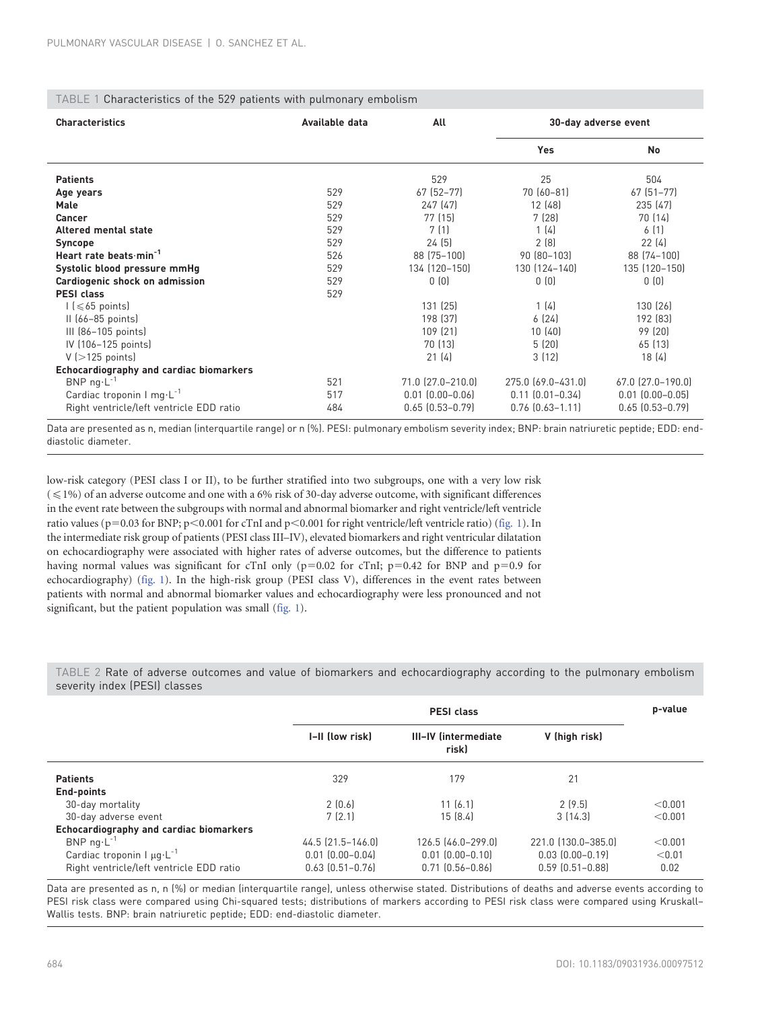<span id="page-3-0"></span>

| TABLE 1 Characteristics of the 529 patients with pulmonary embolism |  |  |
|---------------------------------------------------------------------|--|--|
|---------------------------------------------------------------------|--|--|

| <b>Characteristics</b>                   | Available data | All                    | 30-day adverse event   |                        |
|------------------------------------------|----------------|------------------------|------------------------|------------------------|
|                                          |                |                        | <b>Yes</b>             | No                     |
| <b>Patients</b>                          |                | 529                    | 25                     | 504                    |
| Age years                                | 529            | $67$ $(52-77)$         | 70 (60-81)             | $67(51 - 77)$          |
| Male                                     | 529            | 247 (47)               | 12 (48)                | 235 (47)               |
| <b>Cancer</b>                            | 529            | 77 (15)                | 7(28)                  | 70 (14)                |
| <b>Altered mental state</b>              | 529            | 7(1)                   | 1(4)                   | 6(1)                   |
| Syncope                                  | 529            | 24(5)                  | 2(8)                   | 22(4)                  |
| Heart rate beats min <sup>-1</sup>       | 526            | 88 (75-100)            | 90 (80-103)            | 88 (74-100)            |
| Systolic blood pressure mmHg             | 529            | 134 (120-150)          | 130 (124-140)          | 135 (120-150)          |
| Cardiogenic shock on admission           | 529            | 0(0)                   | 0(0)                   | 0(0)                   |
| <b>PESI</b> class                        | 529            |                        |                        |                        |
| $  \leq 65$ points                       |                | 131 (25)               | 1(4)                   | 130 (26)               |
| II (66-85 points)                        |                | 198 (37)               | 6(24)                  | 192 [83]               |
| III (86-105 points)                      |                | 109 [21]               | 10(40)                 | 99 (20)                |
| IV (106-125 points)                      |                | 70 (13)                | 5(20)                  | 65 (13)                |
| $V$ ( $>$ 125 points)                    |                | 21(4)                  | 3(12)                  | 18(4)                  |
| Echocardiography and cardiac biomarkers  |                |                        |                        |                        |
| BNP $nq \cdot L^{-1}$                    | 521            | 71.0 (27.0-210.0)      | 275.0 (69.0-431.0)     | 67.0 (27.0-190.0)      |
| Cardiac troponin I mg $\cdot L^{-1}$     | 517            | $0.01$ $(0.00 - 0.06)$ | $0.11$ $(0.01 - 0.34)$ | $0.01$ $(0.00 - 0.05)$ |
| Right ventricle/left ventricle EDD ratio | 484            | $0.65$ $(0.53 - 0.79)$ | $0.76$ $(0.63 - 1.11)$ | $0.65$ $(0.53 - 0.79)$ |

Data are presented as n, median (interquartile range) or n (%). PESI: pulmonary embolism severity index; BNP: brain natriuretic peptide; EDD: enddiastolic diameter.

low-risk category (PESI class I or II), to be further stratified into two subgroups, one with a very low risk  $($   $\leq$  1%) of an adverse outcome and one with a 6% risk of 30-day adverse outcome, with significant differences in the event rate between the subgroups with normal and abnormal biomarker and right ventricle/left ventricle ratio values ( $p=0.03$  for BNP;  $p<0.001$  for cTnI and  $p<0.001$  for right ventricle/left ventricle ratio) [\(fig. 1](#page-4-0)). In the intermediate risk group of patients (PESI class III–IV), elevated biomarkers and right ventricular dilatation on echocardiography were associated with higher rates of adverse outcomes, but the difference to patients having normal values was significant for cTnI only ( $p=0.02$  for cTnI;  $p=0.42$  for BNP and  $p=0.9$  for echocardiography) [\(fig. 1](#page-4-0)). In the high-risk group (PESI class V), differences in the event rates between patients with normal and abnormal biomarker values and echocardiography were less pronounced and not significant, but the patient population was small ([fig. 1\)](#page-4-0).

TABLE 2 Rate of adverse outcomes and value of biomarkers and echocardiography according to the pulmonary embolism severity index (PESI) classes

|                                           | <b>PESI class</b>      |                                       |                        | p-value |
|-------------------------------------------|------------------------|---------------------------------------|------------------------|---------|
|                                           | I-II (low risk)        | <b>III-IV (intermediate)</b><br>risk) | V (high risk)          |         |
| <b>Patients</b>                           | 329                    | 179                                   | 21                     |         |
| End-points                                |                        |                                       |                        |         |
| 30-day mortality                          | 2[0.6]                 | 11(6.1)                               | 2(9.5)                 | < 0.001 |
| 30-day adverse event                      | 7(2.1)                 | 15(8.4)                               | 3(14.3)                | < 0.001 |
| Echocardiography and cardiac biomarkers   |                        |                                       |                        |         |
| BNP $ng \cdot L^{-1}$                     | 44.5 (21.5–146.0)      | 126.5 (46.0-299.0)                    | 221.0 (130.0-385.0)    | < 0.001 |
| Cardiac troponin $\ln \mu g \cdot L^{-1}$ | $0.01$ $[0.00 - 0.04]$ | $0.01$ $[0.00 - 0.10]$                | $0.03$ $[0.00 - 0.19]$ | < 0.01  |
| Right ventricle/left ventricle EDD ratio  | $0.63$ $(0.51 - 0.76)$ | $0.71$ $(0.56 - 0.86)$                | $0.59$ $(0.51 - 0.88)$ | 0.02    |

Data are presented as n, n (%) or median (interquartile range), unless otherwise stated. Distributions of deaths and adverse events according to PESI risk class were compared using Chi-squared tests; distributions of markers according to PESI risk class were compared using Kruskall– Wallis tests. BNP: brain natriuretic peptide; EDD: end-diastolic diameter.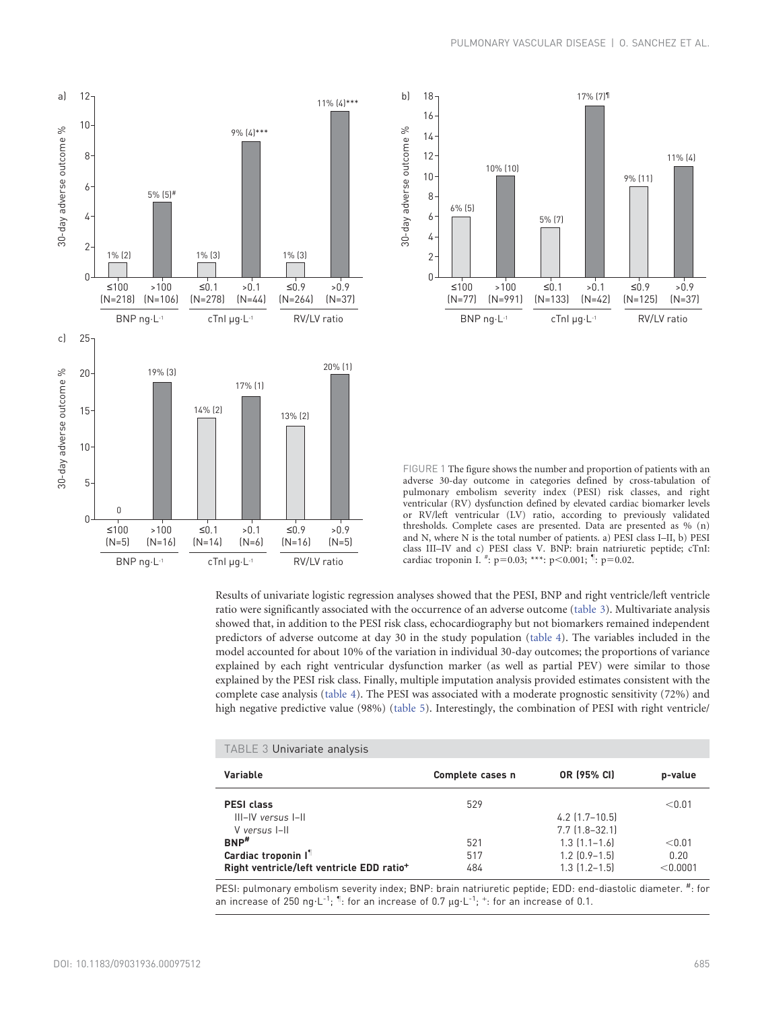

<span id="page-4-0"></span>



FIGURE 1 The figure shows the number and proportion of patients with an adverse 30-day outcome in categories defined by cross-tabulation of pulmonary embolism severity index (PESI) risk classes, and right ventricular (RV) dysfunction defined by elevated cardiac biomarker levels or RV/left ventricular (LV) ratio, according to previously validated thresholds. Complete cases are presented. Data are presented as % (n) and N, where N is the total number of patients. a) PESI class I–II, b) PESI class III–IV and c) PESI class V. BNP: brain natriuretic peptide; cTnI: cardiac troponin I.  $*$ :  $p=0.03;$   $***$ :  $p<0.001;$   $[$ :  $p=0.02$ .

Results of univariate logistic regression analyses showed that the PESI, BNP and right ventricle/left ventricle ratio were significantly associated with the occurrence of an adverse outcome (table 3). Multivariate analysis showed that, in addition to the PESI risk class, echocardiography but not biomarkers remained independent predictors of adverse outcome at day 30 in the study population ([table 4](#page-5-0)). The variables included in the model accounted for about 10% of the variation in individual 30-day outcomes; the proportions of variance explained by each right ventricular dysfunction marker (as well as partial PEV) were similar to those explained by the PESI risk class. Finally, multiple imputation analysis provided estimates consistent with the complete case analysis [\(table 4\)](#page-5-0). The PESI was associated with a moderate prognostic sensitivity (72%) and high negative predictive value (98%) ([table 5](#page-5-0)). Interestingly, the combination of PESI with right ventricle/

| TABLE 3 Univariate analysis                                                                                |                   |                                                                                      |                          |
|------------------------------------------------------------------------------------------------------------|-------------------|--------------------------------------------------------------------------------------|--------------------------|
| Variable                                                                                                   | Complete cases n  | OR (95% CI)                                                                          | p-value                  |
| PESI class<br>III-IV versus I-II<br>V versus I-II<br>$BNP$ <sup>#</sup><br>Cardiac troponin I <sup>1</sup> | 529<br>521<br>517 | $4.2$ $(1.7-10.5)$<br>$7.7$ $(1.8-32.1)$<br>$1.3$ $[1.1 - 1.6]$<br>$1.2$ $[0.9-1.5]$ | < 0.01<br>< 0.01<br>0.20 |
| Right ventricle/left ventricle EDD ratio <sup>+</sup>                                                      | 484               | $1.3$ $(1.2 - 1.5)$                                                                  | < 0.0001                 |

PESI: pulmonary embolism severity index; BNP: brain natriuretic peptide; EDD: end-diastolic diameter. #: for an increase of 250 ng $\cdot$ L<sup>-1</sup>;  $^1$ : for an increase of 0.7  $\mu$ g $\cdot$ L<sup>-1</sup>;  $^+$ : for an increase of 0.1.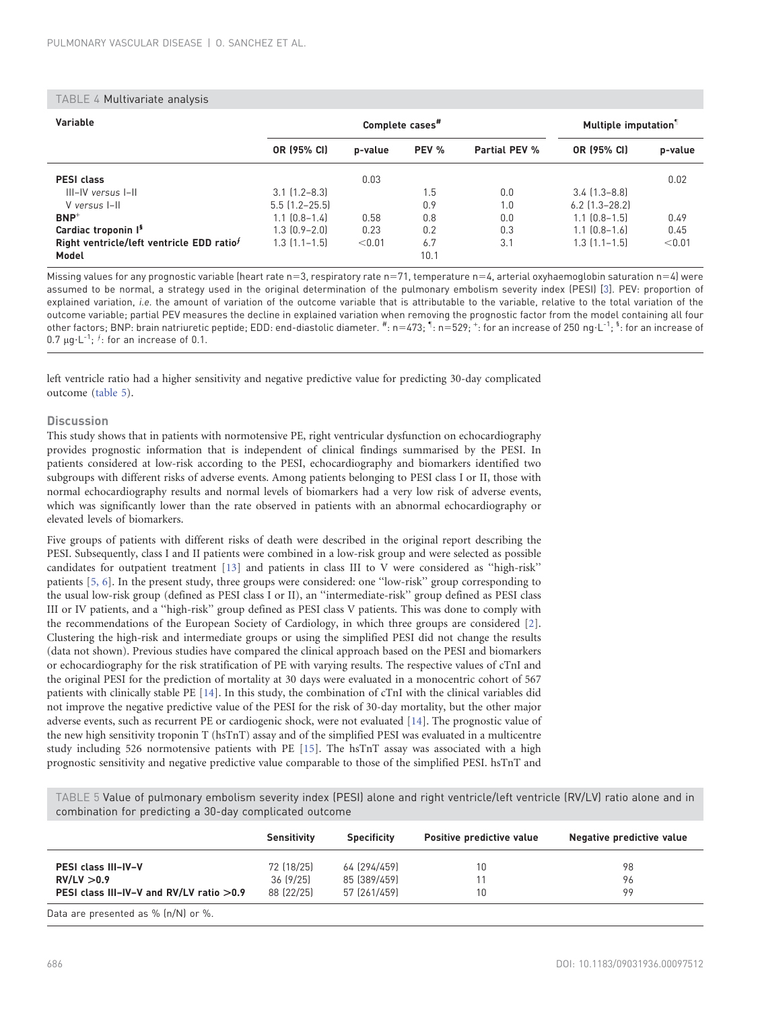# <span id="page-5-0"></span>TABLE 4 Multivariate analysis

| Variable                                              | Complete cases"      |         |       |               | Multiple imputation |         |
|-------------------------------------------------------|----------------------|---------|-------|---------------|---------------------|---------|
|                                                       | OR (95% CI)          | p-value | PEV % | Partial PEV % | OR (95% CI)         | p-value |
| <b>PESI class</b>                                     |                      | 0.03    |       |               |                     | 0.02    |
| III-IV versus I-II                                    | $3.1$ $(1.2 - 8.3)$  |         | 1.5   | 0.0           | $3.4$ $(1.3-8.8)$   |         |
| V versus I-II                                         | $5.5$ $(1.2 - 25.5)$ |         | 0.9   | 1.0           | $6.2$ [1.3-28.2]    |         |
| $BNP+$                                                | $1.1$ $(0.8-1.4)$    | 0.58    | 0.8   | 0.0           | $1.1$ $(0.8-1.5)$   | 0.49    |
| Cardiac troponin I <sup>5</sup>                       | $1.3$ $[0.9 - 2.0]$  | 0.23    | 0.2   | 0.3           | $1.1$ $[0.8-1.6]$   | 0.45    |
| Right ventricle/left ventricle EDD ratio <sup>f</sup> | $1.3$ $(1.1 - 1.5)$  | < 0.01  | 6.7   | 3.1           | $1.3$ $[1.1 - 1.5]$ | < 0.01  |
| Model                                                 |                      |         | 10.1  |               |                     |         |

Missing values for any prognostic variable (heart rate n=3, respiratory rate n=71, temperature n=4, arterial oxyhaemoglobin saturation n=4) were assumed to be normal, a strategy used in the original determination of the pulmonary embolism severity index (PESI) [\[3\]](#page-6-0). PEV: proportion of explained variation, *i.e.* the amount of variation of the outcome variable that is attributable to the variable, relative to the total variation of the outcome variable; partial PEV measures the decline in explained variation when removing the prognostic factor from the model containing all four other factors; BNP: brain natriuretic peptide; EDD: end-diastolic diameter. #: n=473; <sup>¶</sup>: n=529; <sup>+</sup>: for an increase of 250 ng·L<sup>-1</sup>; <sup>s</sup>: for an increase of 0.7  $\mu$ g·L $^{-1}$ ;  $^f$ : for an increase of 0.1.

left ventricle ratio had a higher sensitivity and negative predictive value for predicting 30-day complicated outcome (table 5).

# **Discussion**

This study shows that in patients with normotensive PE, right ventricular dysfunction on echocardiography provides prognostic information that is independent of clinical findings summarised by the PESI. In patients considered at low-risk according to the PESI, echocardiography and biomarkers identified two subgroups with different risks of adverse events. Among patients belonging to PESI class I or II, those with normal echocardiography results and normal levels of biomarkers had a very low risk of adverse events, which was significantly lower than the rate observed in patients with an abnormal echocardiography or elevated levels of biomarkers.

Five groups of patients with different risks of death were described in the original report describing the PESI. Subsequently, class I and II patients were combined in a low-risk group and were selected as possible candidates for outpatient treatment [\[13\]](#page-7-0) and patients in class III to V were considered as ''high-risk'' patients [\[5, 6\]](#page-6-0). In the present study, three groups were considered: one ''low-risk'' group corresponding to the usual low-risk group (defined as PESI class I or II), an ''intermediate-risk'' group defined as PESI class III or IV patients, and a ''high-risk'' group defined as PESI class V patients. This was done to comply with the recommendations of the European Society of Cardiology, in which three groups are considered [\[2\]](#page-6-0). Clustering the high-risk and intermediate groups or using the simplified PESI did not change the results (data not shown). Previous studies have compared the clinical approach based on the PESI and biomarkers or echocardiography for the risk stratification of PE with varying results. The respective values of cTnI and the original PESI for the prediction of mortality at 30 days were evaluated in a monocentric cohort of 567 patients with clinically stable PE [\[14\].](#page-7-0) In this study, the combination of cTnI with the clinical variables did not improve the negative predictive value of the PESI for the risk of 30-day mortality, but the other major adverse events, such as recurrent PE or cardiogenic shock, were not evaluated [\[14\]](#page-7-0). The prognostic value of the new high sensitivity troponin T (hsTnT) assay and of the simplified PESI was evaluated in a multicentre study including 526 normotensive patients with PE [\[15\].](#page-7-0) The hsTnT assay was associated with a high prognostic sensitivity and negative predictive value comparable to those of the simplified PESI. hsTnT and

TABLE 5 Value of pulmonary embolism severity index (PESI) alone and right ventricle/left ventricle (RV/LV) ratio alone and in combination for predicting a 30-day complicated outcome

|                                                                                       | <b>Sensitivity</b>                    | <b>Specificity</b>                           | Positive predictive value | Negative predictive value |
|---------------------------------------------------------------------------------------|---------------------------------------|----------------------------------------------|---------------------------|---------------------------|
| <b>PESI class III-IV-V</b><br>RV/LV > 0.9<br>PESI class III-IV-V and RV/LV ratio >0.9 | 72 (18/25)<br>36 [9/25]<br>88 (22/25) | 64 (294/459)<br>85 (389/459)<br>57 (261/459) | 10<br>10                  | 98<br>96<br>99            |

Data are presented as % (n/N) or %.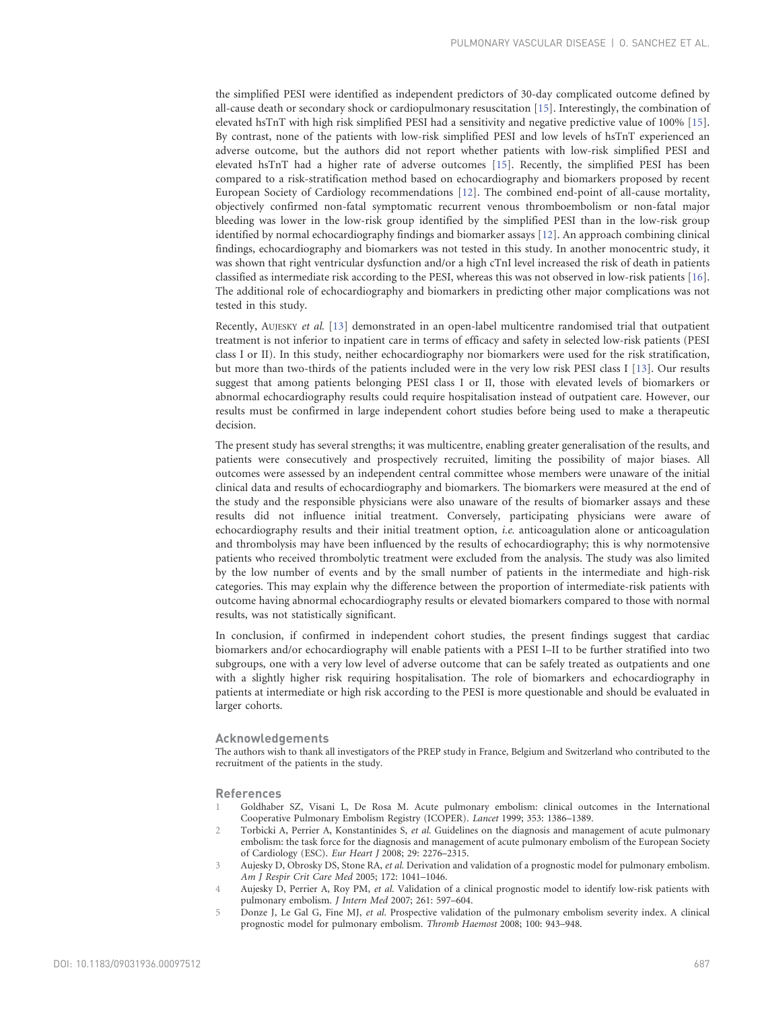<span id="page-6-0"></span>the simplified PESI were identified as independent predictors of 30-day complicated outcome defined by all-cause death or secondary shock or cardiopulmonary resuscitation [\[15\].](#page-7-0) Interestingly, the combination of elevated hsTnT with high risk simplified PESI had a sensitivity and negative predictive value of 100% [\[15\].](#page-7-0) By contrast, none of the patients with low-risk simplified PESI and low levels of hsTnT experienced an adverse outcome, but the authors did not report whether patients with low-risk simplified PESI and elevated hsTnT had a higher rate of adverse outcomes [\[15\].](#page-7-0) Recently, the simplified PESI has been compared to a risk-stratification method based on echocardiography and biomarkers proposed by recent European Society of Cardiology recommendations [\[12\]](#page-7-0). The combined end-point of all-cause mortality, objectively confirmed non-fatal symptomatic recurrent venous thromboembolism or non-fatal major bleeding was lower in the low-risk group identified by the simplified PESI than in the low-risk group identified by normal echocardiography findings and biomarker assays [\[12\].](#page-7-0) An approach combining clinical findings, echocardiography and biomarkers was not tested in this study. In another monocentric study, it was shown that right ventricular dysfunction and/or a high cTnI level increased the risk of death in patients classified as intermediate risk according to the PESI, whereas this was not observed in low-risk patients [\[16\].](#page-7-0) The additional role of echocardiography and biomarkers in predicting other major complications was not tested in this study.

Recently, AUJESKY et al. [\[13\]](#page-7-0) demonstrated in an open-label multicentre randomised trial that outpatient treatment is not inferior to inpatient care in terms of efficacy and safety in selected low-risk patients (PESI class I or II). In this study, neither echocardiography nor biomarkers were used for the risk stratification, but more than two-thirds of the patients included were in the very low risk PESI class I [\[13\].](#page-7-0) Our results suggest that among patients belonging PESI class I or II, those with elevated levels of biomarkers or abnormal echocardiography results could require hospitalisation instead of outpatient care. However, our results must be confirmed in large independent cohort studies before being used to make a therapeutic decision.

The present study has several strengths; it was multicentre, enabling greater generalisation of the results, and patients were consecutively and prospectively recruited, limiting the possibility of major biases. All outcomes were assessed by an independent central committee whose members were unaware of the initial clinical data and results of echocardiography and biomarkers. The biomarkers were measured at the end of the study and the responsible physicians were also unaware of the results of biomarker assays and these results did not influence initial treatment. Conversely, participating physicians were aware of echocardiography results and their initial treatment option, i.e. anticoagulation alone or anticoagulation and thrombolysis may have been influenced by the results of echocardiography; this is why normotensive patients who received thrombolytic treatment were excluded from the analysis. The study was also limited by the low number of events and by the small number of patients in the intermediate and high-risk categories. This may explain why the difference between the proportion of intermediate-risk patients with outcome having abnormal echocardiography results or elevated biomarkers compared to those with normal results, was not statistically significant.

In conclusion, if confirmed in independent cohort studies, the present findings suggest that cardiac biomarkers and/or echocardiography will enable patients with a PESI I–II to be further stratified into two subgroups, one with a very low level of adverse outcome that can be safely treated as outpatients and one with a slightly higher risk requiring hospitalisation. The role of biomarkers and echocardiography in patients at intermediate or high risk according to the PESI is more questionable and should be evaluated in larger cohorts.

# Acknowledgements

The authors wish to thank all investigators of the PREP study in France, Belgium and Switzerland who contributed to the recruitment of the patients in the study.

#### References

- 1 Goldhaber SZ, Visani L, De Rosa M. Acute pulmonary embolism: clinical outcomes in the International Cooperative Pulmonary Embolism Registry (ICOPER). Lancet 1999; 353: 1386–1389.
- 2 Torbicki A, Perrier A, Konstantinides S, et al. Guidelines on the diagnosis and management of acute pulmonary embolism: the task force for the diagnosis and management of acute pulmonary embolism of the European Society of Cardiology (ESC). Eur Heart J 2008; 29: 2276–2315.
- 3 Aujesky D, Obrosky DS, Stone RA, et al. Derivation and validation of a prognostic model for pulmonary embolism. Am J Respir Crit Care Med 2005; 172: 1041–1046.
- 4 Aujesky D, Perrier A, Roy PM, et al. Validation of a clinical prognostic model to identify low-risk patients with pulmonary embolism. J Intern Med 2007; 261: 597–604.
- 5 Donze J, Le Gal G, Fine MJ, et al. Prospective validation of the pulmonary embolism severity index. A clinical prognostic model for pulmonary embolism. Thromb Haemost 2008; 100: 943–948.